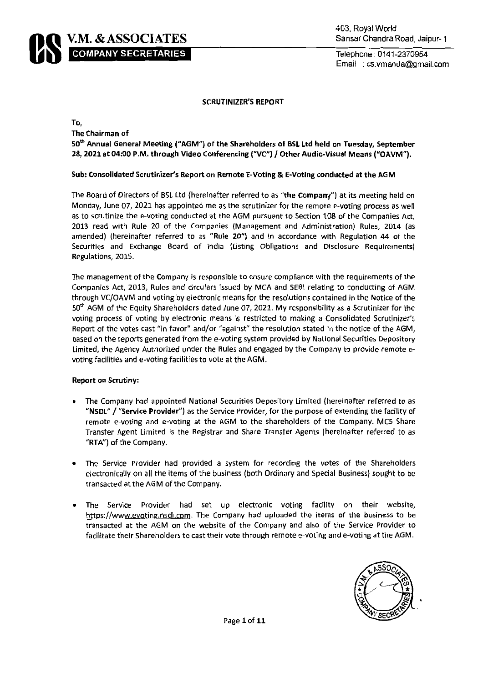

## **SCRUTINIZER'S REPORT**

To,

The Chairman of

50th Annual General Meeting ("AGM") of the Shareholders of BSL Ltd held on Tuesday, September 28, 2021 at 04:00 P.M. through Video Conferencing ("VC") / Other Audio-Visual Means ("OAVM").

## Sub: Consolidated Scrutinizer's Report on Remote E-Voting & E-Voting conducted at the AGM

The Board of Directors of BSL Ltd (hereinafter referred to as "the Company") at its meeting held on Monday, June 07, 2021 has appointed me as the scrutinizer for the remote e-voting process as well as to scrutinize the e-voting conducted at the AGM pursuant to Section 108 of the Companies Act, 2013 read with Rule 20 of the Companies (Management and Administration) Rules, 2014 (as amended) (hereinafter referred to as "Rule 20") and in accordance with Regulation 44 of the Securities and Exchange Board of India (Listing Obligations and Disclosure Requirements) Regulations, 2015.

The management of the Company is responsible to ensure compliance with the requirements of the Companies Act, 2013, Rules and circulars issued by MCA and SEBI relating to conducting of AGM through VC/OAVM and voting by electronic means for the resolutions contained in the Notice of the 50th AGM of the Equity Shareholders dated June 07, 2021. My responsibility as a Scrutinizer for the voting process of voting by electronic means is restricted to making a Consolidated Scrutinizer's Report of the votes cast "in favor" and/or "against" the resolution stated in the notice of the AGM, based on the reports generated from the e-voting system provided by National Securities Depository Limited, the Agency Authorized under the Rules and engaged by the Company to provide remote evoting facilities and e-voting facilities to vote at the AGM.

## **Report on Scrutiny:**

- The Company had appointed National Securities Depository Limited (hereinafter referred to as "NSDL" / "Service Provider") as the Service Provider, for the purpose of extending the facility of remote e-voting and e-voting at the AGM to the shareholders of the Company. MC5 Share Transfer Agent Limited is the Registrar and Share Transfer Agents (hereinafter referred to as "RTA") of the Company.
- The Service Provider had provided a system for recording the votes of the Shareholders electronically on all the items of the business (both Ordinary and Special Business) sought to be transacted at the AGM of the Company.
- The Service Provider had set up electronic voting facility on their website,  $\bullet$ https://www.evoting.nsdl.com. The Company had uploaded the items of the business to be transacted at the AGM on the website of the Company and also of the Service Provider to facilitate their Shareholders to cast their vote through remote e-voting and e-voting at the AGM.

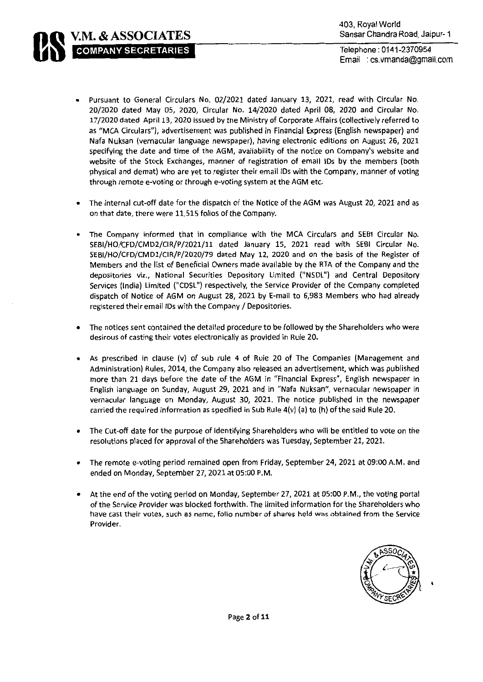Pursuant to General Circulars No. 02/2021 dated January 13, 2021, read with Circular No. 20/2020 dated May 05, 2020, Circular No. 14/2020 dated April 08, 2020 and Circular No. 17/2020 dated April 13, 2020 issued by the Ministry of Corporate Affairs (collectively referred to as "MCA Circulars"), advertisement was published in Financial Express (English newspaper) and Nafa Nuksan (vernacular language newspaper), having electronic editions on August 26, 2021 specifying the date and time of the AGM, availability of the notice on Company's website and website of the Stock Exchanges, manner of registration of email IDs by the members (both physical and demat) who are yet to register their email IDs with the Company, manner of voting through remote e-voting or through e-voting system at the AGM etc.

**V.M. & ASSOCIATES** 

**COMPANY SECRETARIES** 

- The internal cut-off date for the dispatch of the Notice of the AGM was August 20, 2021 and as on that date, there were 11,515 folios of the Company.
- The Company informed that in compliance with the MCA Circulars and SEBI Circular No. SEBI/HO/CFD/CMD2/CIR/P/2021/11 dated January 15, 2021 read with SEBI Circular No. SEBI/HO/CFD/CMD1/CIR/P/2020/79 dated May 12, 2020 and on the basis of the Register of Members and the list of Beneficial Owners made available by the RTA of the Company and the depositories viz., National Securities Depository Limited ("NSDL") and Central Depository Services (India) Limited ("CDSL") respectively, the Service Provider of the Company completed dispatch of Notice of AGM on August 28, 2021 by E-mail to 6,983 Members who had already registered their email IDs with the Company / Depositories.
- The notices sent contained the detailed procedure to be followed by the Shareholders who were desirous of casting their votes electronically as provided in Rule 20.
- As prescribed in clause (v) of sub rule 4 of Rule 20 of The Companies (Management and  $\bullet$ Administration) Rules, 2014, the Company also released an advertisement, which was published more than 21 days before the date of the AGM in "Financial Express", English newspaper in English language on Sunday, August 29, 2021 and in "Nafa Nuksan", vernacular newspaper in vernacular language on Monday, August 30, 2021. The notice published in the newspaper carried the required information as specified in Sub Rule  $4(v)$  (a) to (h) of the said Rule 20.
- $\bullet$ The Cut-off date for the purpose of identifying Shareholders who will be entitled to vote on the resolutions placed for approval of the Shareholders was Tuesday, September 21, 2021.
- The remote e-voting period remained open from Friday, September 24, 2021 at 09:00 A.M. and ended on Monday, September 27, 2021 at 05:00 P.M.
- At the end of the voting period on Monday, September 27, 2021 at 05:00 P.M., the voting portal of the Service Provider was blocked forthwith. The limited information for the Shareholders who have cast their votes, such as name, folio number of shares held was obtained from the Service Provider.

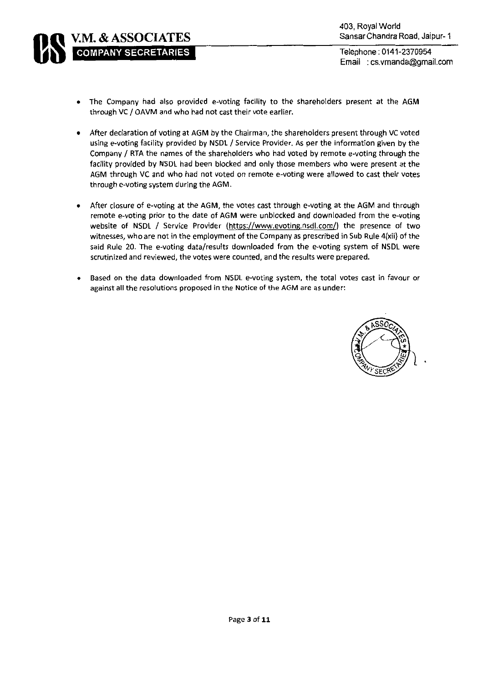

- The Company had also provided e-voting facility to the shareholders present at the AGM  $\bullet$ through VC / OAVM and who had not cast their vote earlier.
- After declaration of voting at AGM by the Chairman, the shareholders present through VC voted  $\bullet$ using e-voting facility provided by NSDL / Service Provider. As per the information given by the Company / RTA the names of the shareholders who had voted by remote e-voting through the facility provided by NSDL had been blocked and only those members who were present at the AGM through VC and who had not voted on remote e-voting were allowed to cast their votes through e-voting system during the AGM.
- After closure of e-voting at the AGM, the votes cast through e-voting at the AGM and through  $\bullet$ remote e-voting prior to the date of AGM were unblocked and downloaded from the e-voting website of NSDL / Service Provider (https://www.evoting.nsdl.com/) the presence of two witnesses, who are not in the employment of the Company as prescribed in Sub Rule 4(xii) of the said Rule 20. The e-voting data/results downloaded from the e-voting system of NSDL were scrutinized and reviewed, the votes were counted, and the results were prepared.
- Based on the data downloaded from NSDL e-voting system, the total votes cast in favour or against all the resolutions proposed in the Notice of the AGM are as under:

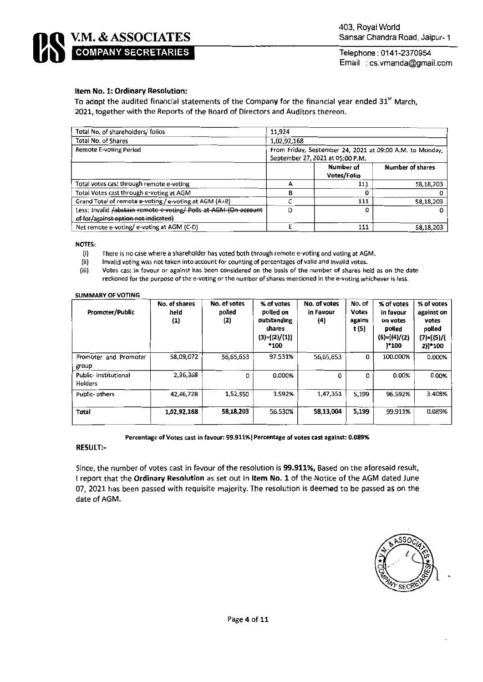# Item No. 1: Ordinary Resolution:

To adopt the audited financial statements of the Company for the financial year ended 31<sup>st</sup> March, 2021, together with the Reports of the Board of Directors and Auditors thereon.

| Total No. of shareholders/ folios                                                                               | 11,924                                                                                       |                          |                         |  |  |  |
|-----------------------------------------------------------------------------------------------------------------|----------------------------------------------------------------------------------------------|--------------------------|-------------------------|--|--|--|
| Total No. of Shares                                                                                             | 1,02,92,168                                                                                  |                          |                         |  |  |  |
| Remote E-voting Period                                                                                          | From Friday, September 24, 2021 at 09:00 A.M. to Monday,<br>September 27, 2021 at 05:00 P.M. |                          |                         |  |  |  |
|                                                                                                                 |                                                                                              | Number of<br>Votes/Folio | <b>Number of shares</b> |  |  |  |
| Total votes cast through remote e-voting                                                                        | А                                                                                            | 111                      | 58,18,203               |  |  |  |
| Total Votes cast through e-voting at AGM                                                                        | в                                                                                            |                          |                         |  |  |  |
| Grand Total of remote e-voting / e-voting at AGM (A+B)                                                          |                                                                                              | 111                      | 58,18,203               |  |  |  |
| Less: Invalid <i>Jabstain remote e-voting/ Polls at AGM (On account</i><br>of for/against option not indicated) | D                                                                                            |                          | 0                       |  |  |  |
| Net remote e-voting/e-voting at AGM (C-D)                                                                       |                                                                                              | 111                      | 58,18,203               |  |  |  |

**NOTES:** 

There is no case where a shareholder has voted both through remote e-voting and voting at AGM.  $(i)$ 

 $(ii)$ Invalid voting was not taken into account for counting of percentages of valid and invalid votes.

 $(iii)$ Votes cast in favour or against has been considered on the basis of the number of shares held as on the date reckoned for the purpose of the e-voting or the number of shares mentioned in the e-voting whichever is less.

### **SUMMARY OF VOTING**

| <b>Promoter/Public</b>            | No. of shares<br>held<br>(1) | No. of votes<br>polled<br>(2) | % of votes<br>polled on<br>outstanding<br>shares<br>$(3)=[(2)/(1)]$<br>*100 | No. of votes<br>in Favour<br>(4) | No. of<br><b>Votes</b><br>agains<br>t (5) | % of votes<br>in favour<br>on votes<br>polled<br>$(6)=[(4)/(2)$<br>1*100 | % of votes<br>against on<br>votes<br>polled<br>$(7)=[(5)/($<br>2)]*100 |
|-----------------------------------|------------------------------|-------------------------------|-----------------------------------------------------------------------------|----------------------------------|-------------------------------------------|--------------------------------------------------------------------------|------------------------------------------------------------------------|
| and Promoter<br>Promoter<br>group | 58,09,072                    | 56,65,653                     | 97.531%                                                                     | 56,65,653                        | 0                                         | 100.000%                                                                 | 0.000%                                                                 |
| Public- Institutional<br>Holders  | 2,36,368                     | 0                             | 0.000%                                                                      | $\Omega$                         | 0                                         | 0.00%                                                                    | 0.00%                                                                  |
| Public-others                     | 42,46,728                    | 1,52,550                      | 3.592%                                                                      | 1,47,351                         | 5,199                                     | 96.592%                                                                  | 3.408%                                                                 |
| Total                             | 1,02,92,168                  | 58,18,203                     | 56.530%                                                                     | 58,13,004                        | 5,199                                     | 99.911%                                                                  | 0.089%                                                                 |

Percentage of Votes cast in favour: 99.911% | Percentage of votes cast against: 0.089%

# **RESULT:-**

Since, the number of votes cast in favour of the resolution is 99.911%, Based on the aforesaid result, I report that the Ordinary Resolution as set out in Item No. 1 of the Notice of the AGM dated June 07, 2021 has been passed with requisite majority. The resolution is deemed to be passed as on the date of AGM.

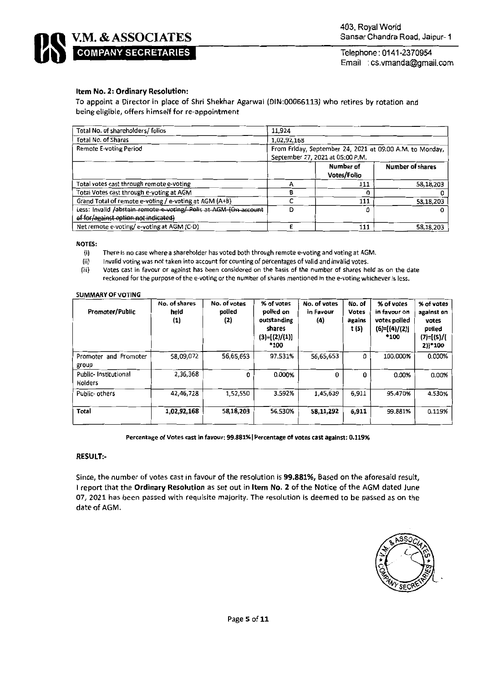

# Item No. 2: Ordinary Resolution:

To appoint a Director in place of Shri Shekhar Agarwal (DIN:00066113) who retires by rotation and being eligible, offers himself for re-appointment

| Total No. of shareholders/folios                                 | 11.924                                                                                       |                                 |                         |  |  |  |
|------------------------------------------------------------------|----------------------------------------------------------------------------------------------|---------------------------------|-------------------------|--|--|--|
| Total No. of Shares                                              | 1,02,92,168                                                                                  |                                 |                         |  |  |  |
| <b>Remote E-voting Period</b>                                    | From Friday, September 24, 2021 at 09:00 A.M. to Monday,<br>September 27, 2021 at 05:00 P.M. |                                 |                         |  |  |  |
|                                                                  |                                                                                              | Number of<br><b>Votes/Folio</b> | <b>Number of shares</b> |  |  |  |
| Total votes cast through remote e-voting                         | А                                                                                            | 111                             | 58,18,203               |  |  |  |
| Total Votes cast through e-voting at AGM                         | A                                                                                            |                                 |                         |  |  |  |
| Grand Total of remote e-voting / e-voting at AGM (A+B)           |                                                                                              | 111                             | 58,18,203               |  |  |  |
| Less: Invalid /abstain remote e-voting/ Polls at AGM (On account | D                                                                                            |                                 |                         |  |  |  |
| of for/against option not indicated)                             |                                                                                              |                                 |                         |  |  |  |
| Net remote e-voting/e-voting at AGM (C-D)                        |                                                                                              | 111                             | 58,18,203               |  |  |  |

NOTES:

 $(i)$ There is no case where a shareholder has voted both through remote e-voting and voting at AGM.

 $(ii)$ Invalid voting was not taken into account for counting of percentages of valid and invalid votes.

Votes cast in favour or against has been considered on the basis of the number of shares held as on the date (iii) reckoned for the purpose of the e-voting or the number of shares mentioned in the e-voting whichever is less.

### **SUMMARY OF VOTING**

| Promoter/Public                 | No. of shares<br>held<br>(1) | No. of votes<br>polled<br>(2) | % of votes<br>polled on<br>outstanding<br>shares<br>$(3)=[(2)/(1)]$<br>*100 | No. of votes<br>in Favour<br>(4) | No. of<br><b>Votes</b><br>agains<br>t (5) | % of votes<br>in favour on<br>votes polled<br>$(6)=[(4)/(2)]$<br>*100 | % of votes<br>against on<br>votes<br>polled<br>$(7) = [(5) / ($<br>2)]*100 |
|---------------------------------|------------------------------|-------------------------------|-----------------------------------------------------------------------------|----------------------------------|-------------------------------------------|-----------------------------------------------------------------------|----------------------------------------------------------------------------|
| Promoter and Promoter<br>group  | 58,09,072                    | 56,65,653                     | 97.531%                                                                     | 56,65,653                        | 0                                         | 100.000%                                                              | 0.000%                                                                     |
| Public-Institutional<br>Holders | 2,36,368                     | 0                             | 0.000%                                                                      | 0                                | 0                                         | 0.00%                                                                 | 0.00%                                                                      |
| Public-others                   | 42,46,728                    | 1,52,550                      | 3.592%                                                                      | 1.45,639                         | 6,911                                     | 95.470%                                                               | 4.530%                                                                     |
| Total                           | 1,02,92,168                  | 58,18,203                     | 56.530%                                                                     | 58,11,292                        | 6,911                                     | 99.881%                                                               | 0.119%                                                                     |

Percentage of Votes cast in favour: 99.881% | Percentage of votes cast against: 0.119%

## **RESULT:-**

Since, the number of votes cast in favour of the resolution is 99.881%, Based on the aforesaid result, I report that the Ordinary Resolution as set out in Item No. 2 of the Notice of the AGM dated June 07, 2021 has been passed with requisite majority. The resolution is deemed to be passed as on the date of AGM.

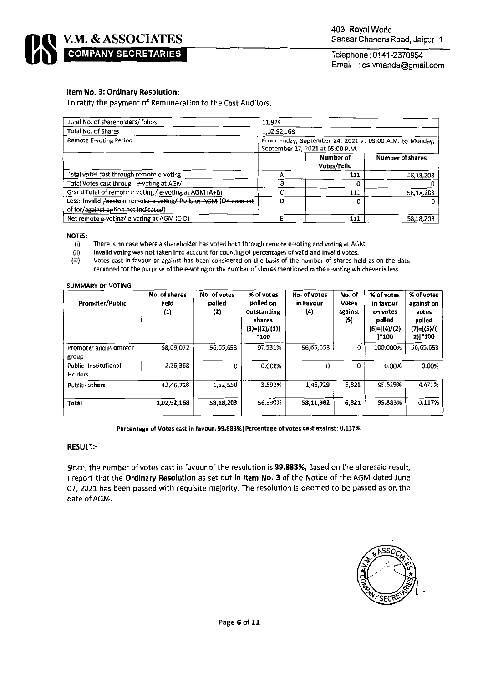

# Item No. 3: Ordinary Resolution:

To ratify the payment of Remuneration to the Cost Auditors.

| Total No. of shareholders/ folios                                | 11,924                                                                                       |                          |                  |  |  |  |
|------------------------------------------------------------------|----------------------------------------------------------------------------------------------|--------------------------|------------------|--|--|--|
| Total No. of Shares                                              | 1,02,92,168                                                                                  |                          |                  |  |  |  |
| Remote E-voting Period                                           | From Friday, September 24, 2021 at 09:00 A.M. to Monday.<br>September 27, 2021 at 05:00 P.M. |                          |                  |  |  |  |
|                                                                  |                                                                                              | Number of<br>Votes/Folio | Number of shares |  |  |  |
| Total votes cast through remote e-voting                         |                                                                                              | 111                      | 58,18,203        |  |  |  |
| Total Votes cast through e-voting at AGM                         |                                                                                              |                          |                  |  |  |  |
| Grand Total of remote e-voting / e-voting at AGM (A+B)           |                                                                                              | 111                      | 58,18,203        |  |  |  |
| Less: Invalid /abstain remote e-voting/ Polls at AGM (On account | D                                                                                            |                          |                  |  |  |  |
| of for/against option not indicated)                             |                                                                                              |                          |                  |  |  |  |
| Net remote e-voting/e-voting at AGM (C-D)                        |                                                                                              | 111                      | 58,18,203        |  |  |  |

NOTES:

There is no case where a shareholder has voted both through remote e-voting and voting at AGM.  $(i)$ 

 $(ii)$ Invalid voting was not taken into account for counting of percentages of valid and invalid votes.

 $(iii)$ Votes cast in favour or against has been considered on the basis of the number of shares held as on the date reckoned for the purpose of the e-voting or the number of shares mentioned in the e-voting whichever is less.

#### **SUMMARY OF VOTING**

| Promoter/Public                        | No. of shares<br>held<br>$\bf(1)$ | No. of votes<br>polled<br>(2) | % of votes<br>polled on<br>outstanding<br>shares<br>$(3)=[(2)/(1)]$<br>*100 | No. of votes<br>in Favour<br>(4) | No. of<br><b>Votes</b><br>against<br>(5) | % of votes<br>in favour<br>on votes<br>polled<br>$(6)=[(4)/(2)$<br>1*100 | % of votes<br>against on<br>votes<br>polled<br>$(7)=[(5)/($<br>2)]*100 |
|----------------------------------------|-----------------------------------|-------------------------------|-----------------------------------------------------------------------------|----------------------------------|------------------------------------------|--------------------------------------------------------------------------|------------------------------------------------------------------------|
| Promoter and Promoter<br>group         | 58,09.072                         | 56,65,653                     | 97.531%                                                                     | 56,65,653                        | 0                                        | 100.000%                                                                 | 56,65,653                                                              |
| Public-Institutional<br><b>Holders</b> | 2,36,368                          | $\Omega$                      | 0.000%                                                                      | 0                                | 0                                        | 0.00%                                                                    | 0.00%                                                                  |
| Public- others                         | 42,46,728                         | 1,52,550                      | 3.592%                                                                      | 1,45,729                         | 6,821                                    | 95.529%                                                                  | 4.471%                                                                 |
| <b>Total</b>                           | 1,02,92,168                       | 58,18,203                     | 56.530%                                                                     | 58,11,382                        | 6,821                                    | 99.883%                                                                  | 0.117%                                                                 |

Percentage of Votes cast in favour: 99.883% | Percentage of votes cast against: 0.117%

### **RESULT:-**

Since, the number of votes cast in favour of the resolution is 99.883%, Based on the aforesaid result, I report that the Ordinary Resolution as set out in Item No. 3 of the Notice of the AGM dated June 07, 2021 has been passed with requisite majority. The resolution is deemed to be passed as on the date of AGM.

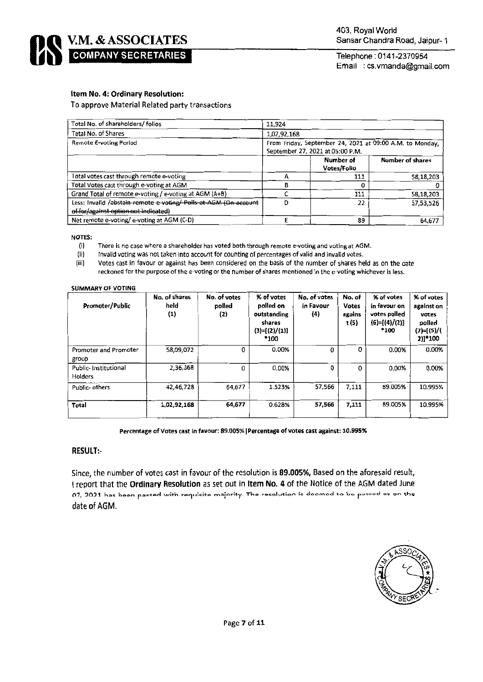

# Item No. 4: Ordinary Resolution:

To approve Material Related party transactions

| Total No. of shareholders/folios                                                                         | 11.924                                                                                       |                          |                         |  |  |  |
|----------------------------------------------------------------------------------------------------------|----------------------------------------------------------------------------------------------|--------------------------|-------------------------|--|--|--|
| Total No. of Shares                                                                                      | 1,02,92,168                                                                                  |                          |                         |  |  |  |
| Remote E-voting Period                                                                                   | From Friday, September 24, 2021 at 09:00 A.M. to Monday,<br>September 27, 2021 at 05:00 P.M. |                          |                         |  |  |  |
|                                                                                                          |                                                                                              | Number of<br>Votes/Folio | <b>Number of shares</b> |  |  |  |
| Total votes cast through remote e-voting                                                                 |                                                                                              | 111                      | 58,18,203               |  |  |  |
| Total Votes cast through e-voting at AGM                                                                 |                                                                                              |                          |                         |  |  |  |
| Grand Total of remote e-voting / e-voting at AGM (A+B)                                                   |                                                                                              | 111                      | 58,18,203               |  |  |  |
| Less: Invalid /abstain remote e-voting/ Polls at-AGM (On account<br>of for/against option not indicated) | Đ                                                                                            | 22                       | 57,53,526               |  |  |  |
| Net remote e-voting/e-voting at AGM (C-D)                                                                |                                                                                              | 89                       | 64,677                  |  |  |  |

**NOTES:** 

There is no case where a shareholder has voted both through remote e-voting and voting at AGM.  $(i)$ 

 $(ii)$ Invalid voting was not taken into account for counting of percentages of valid and invalid votes.

Votes cast in favour or against has been considered on the basis of the number of shares held as on the date  $(iii)$ reckoned for the purpose of the e-voting or the number of shares mentioned in the e-voting whichever is less.

#### **SUMMARY OF VOTING**

| <b>Promoter/Public</b>          | No. of shares<br>held<br>(1) | No. of votes<br>polled<br>(2) | % of votes<br>polled on<br>outstanding<br>shares<br>$(3)=[(2)/(1)]$<br>*100 | No. of votes<br>in Favour<br>$\{4\}$ | No. of<br>Votes<br>agains<br>t (5) | % of votes<br>in favour on<br>votes polled<br>$(6)=[(4)/(2)]$<br>*100 | % of votes<br>against on<br>votes<br>polled<br>$(7) = [(5) / ($<br>2)]*100 |
|---------------------------------|------------------------------|-------------------------------|-----------------------------------------------------------------------------|--------------------------------------|------------------------------------|-----------------------------------------------------------------------|----------------------------------------------------------------------------|
| Promoter and Promoter<br>group  | 58,09,072                    | 0                             | 0.00%                                                                       | 0                                    | 0                                  | 0.00%                                                                 | 0.00%                                                                      |
| Public-Institutional<br>Holders | 2,36,368                     | 0                             | 0.00%                                                                       | $\Omega$                             | o                                  | 0.00%                                                                 | 0.00%                                                                      |
| Public- others                  | 42,46,728                    | 64.677                        | 1.523%                                                                      | 57,566                               | 7,111                              | 89.005%                                                               | 10.995%                                                                    |
| Total                           | 1,02,92,168                  | 64,677                        | 0.628%                                                                      | 57.566                               | 7,111                              | 89.005%                                                               | 10.995%                                                                    |

Percentage of Votes cast in favour: 89.005% | Percentage of votes cast against: 10.995%

# **RESULT:-**

Since, the number of votes cast in favour of the resolution is 89.005%, Based on the aforesaid result, I report that the Ordinary Resolution as set out in Item No. 4 of the Notice of the AGM dated June 07, 2021 has been passed with requisite majority. The resolution is doomod to be passed as on the date of AGM.

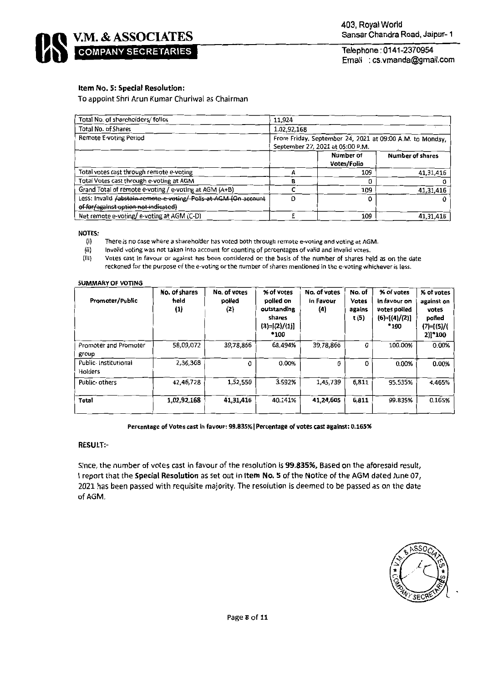

# Item No. 5: Special Resolution:

To appoint Shri Arun Kumar Churiwal as Chairman

| Total No. of shareholders/folios                                 | 11.924                                                                                       |                          |                         |  |  |  |
|------------------------------------------------------------------|----------------------------------------------------------------------------------------------|--------------------------|-------------------------|--|--|--|
| Total No. of Shares                                              | 1,02,92,168                                                                                  |                          |                         |  |  |  |
| Remote E-voting Period                                           | From Friday, September 24, 2021 at 09:00 A.M. to Monday.<br>September 27, 2021 at 05:00 P.M. |                          |                         |  |  |  |
|                                                                  |                                                                                              | Number of<br>Votes/Folio | <b>Number of shares</b> |  |  |  |
| Total votes cast through remote e-voting                         |                                                                                              | 109                      | 41,31,416               |  |  |  |
| Total Votes cast through e-voting at AGM                         |                                                                                              |                          |                         |  |  |  |
| Grand Total of remote e-voting / e-voting at AGM (A+B)           |                                                                                              | 109                      | 41,31,416               |  |  |  |
| Less: Invalid /abstain-remote e voting/-Polls at AGM (On account |                                                                                              |                          |                         |  |  |  |
| of for/against option not indicated)                             |                                                                                              |                          |                         |  |  |  |
| Net remote e-voting/e-voting at AGM (C-D)                        |                                                                                              | 109                      | 41.31,416               |  |  |  |

#### **NOTES:**

- $(i)$ There is no case where a shareholder has voted both through remote e-voting and voting at AGM.
- Invalid voting was not taken into account for counting of percentages of valid and invalid votes. (ii)

 $(iii)$ Votes cast in favour or against has been considered on the basis of the number of shares held as on the date reckoned for the purpose of the e-voting or the number of shares mentioned in the e-voting whichever is less.

#### **SUMMARY OF VOTING**

| Promoter/Public                         | No. of shares<br>held<br>(1) | No. of votes<br>polled<br>(2) | % of votes<br>poiled on<br>outstanding<br>shares<br>$(3)=[(2)/(1)]$<br>*100 | No. of votes<br>in Favour<br>$\left( 4\right)$ | No. of<br><b>Votes</b><br>agains<br>t (5) | % of votes<br>in favour on<br>votes polled<br>$(6)=[(4)/(2)]$<br>*100 | % of votes<br>against on<br>votes<br>polled<br>$(7)=[(5)/($<br>2)]*100 |
|-----------------------------------------|------------------------------|-------------------------------|-----------------------------------------------------------------------------|------------------------------------------------|-------------------------------------------|-----------------------------------------------------------------------|------------------------------------------------------------------------|
| Promoter and Promoter<br>group          | 58,09,072                    | 39,78,866                     | 68.494%                                                                     | 39,78,866                                      | 0                                         | 100.00%                                                               | 0.00%                                                                  |
| Public- Institutional<br><b>Holders</b> | 2,36,368                     | 0                             | 0.00%                                                                       | $\Omega$                                       | U.                                        | 0.00%                                                                 | 0.00%                                                                  |
| Public-others                           | 42,46,728                    | 1,52,550                      | 3.592%                                                                      | 1,45,739                                       | 6,811                                     | 95.535%                                                               | 4.465%                                                                 |
| Total                                   | 1,02,92,168                  | 41,31,416                     | 40.141%                                                                     | 41,24,605                                      | 6,811                                     | 99.835%                                                               | 0.165%                                                                 |

### Percentage of Votes cast in favour: 99.835% | Percentage of votes cast against: 0.165%

## **RESULT:-**

Since, the number of votes cast in favour of the resolution is 99.835%, Based on the aforesaid result, I report that the Special Resolution as set out in Item No. 5 of the Notice of the AGM dated June 07, 2021 has been passed with requisite majority. The resolution is deemed to be passed as on the date of AGM.

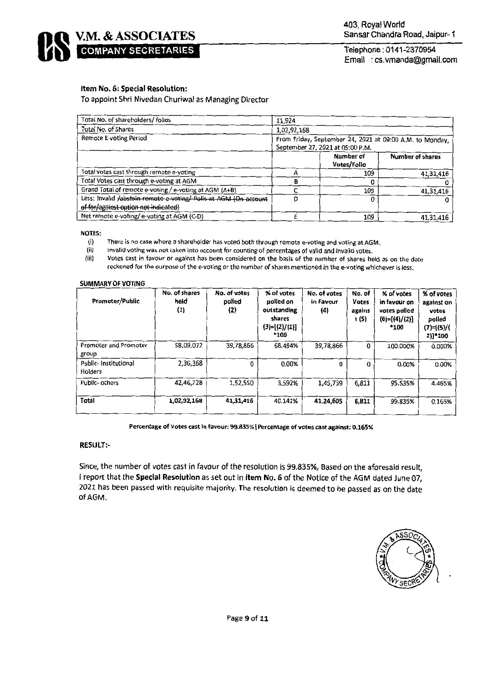**COMPANY SECRETARIES** 

Telephone: 0141-2370954 Email : cs.vmanda@gmail.com

# Item No. 6: Special Resolution:

V.M. & ASSOCIATES

To appoint Shri Nivedan Churiwal as Managing Director

| Total No. of shareholders/ folios                                                                        | 11,924                                                                                       |                          |                         |  |  |
|----------------------------------------------------------------------------------------------------------|----------------------------------------------------------------------------------------------|--------------------------|-------------------------|--|--|
| Total No. of Shares                                                                                      | 1,02,92,168                                                                                  |                          |                         |  |  |
| Remote E-voting Period                                                                                   | From Friday, September 24, 2021 at 09:00 A.M. to Monday,<br>September 27, 2021 at 05:00 P.M. |                          |                         |  |  |
|                                                                                                          |                                                                                              | Number of<br>Votes/Folio | <b>Number of shares</b> |  |  |
| Total votes cast through remote e-voting                                                                 |                                                                                              | 109                      | 41,31,416               |  |  |
| Total Votes cast through e-voting at AGM                                                                 | R                                                                                            |                          |                         |  |  |
| Grand Total of remote e-voting / e-voting at AGM (A+B)                                                   |                                                                                              | 109                      | 41,31,416               |  |  |
| Less: Invalid fabstain remote e-voting/ Polls at AGM (On account<br>of for/against option not indicated) | n                                                                                            |                          |                         |  |  |
| Net remote e-voting/e-voting at AGM (C-D)                                                                |                                                                                              | 109                      | 41,31,416               |  |  |

**NOTES:** 

- There is no case where a shareholder has voted both through remote e-voting and voting at AGM.  $(i)$
- $(ii)$ Invalid voting was not taken into account for counting of percentages of valid and invalid votes.

 $(iii)$ Votes cast in favour or against has been considered on the basis of the number of shares held as on the date reckoned for the purpose of the e-voting or the number of shares mentioned in the e-voting whichever is less.

### **SUMMARY OF VOTING**

| Promoter/Public                       | No. of shares<br>held<br>(1) | No. of votes<br>polled<br>(2) | % of votes<br>polled on<br>outstanding<br>shares<br>$(3)=[(2)/(1)]$<br>*100 | No. of votes<br>in Favour<br>(4) | No. of<br><b>Votes</b><br>agains<br>t (5) | % of votes<br>in favour on<br>votes polled<br>$(6)=[(4)/(2)]$<br>*100 | % of votes<br>against on<br>votes<br>polled<br>(7)=[(5)/(<br>2)]*100 |
|---------------------------------------|------------------------------|-------------------------------|-----------------------------------------------------------------------------|----------------------------------|-------------------------------------------|-----------------------------------------------------------------------|----------------------------------------------------------------------|
| <b>Promoter and Promoter</b><br>group | 58,09,072                    | 39,78,866                     | 68.494%                                                                     | 39,78,866                        | $\Omega$                                  | 100.000%                                                              | 0.000%                                                               |
| Public- Institutional<br>Holders      | 2,36,368                     | 0                             | 0.00%                                                                       | 0                                | $\Omega$                                  | 0.00%                                                                 | 0.00%                                                                |
| Public- others                        | 42,46,728                    | 1,52,550                      | 3.592%                                                                      | 1,45,739                         | 6,811                                     | 95.535%                                                               | 4.465%                                                               |
| Total                                 | 1,02,92,168                  | 41,31,416                     | 40.141%                                                                     | 41,24,605                        | 6.811                                     | 99.835%                                                               | 0.165%                                                               |

#### Percentage of Votes cast in favour: 99.835% | Percentage of votes cast against: 0.165%

### **RESULT:-**

Since, the number of votes cast in favour of the resolution is 99.835%, Based on the aforesaid result, I report that the Special Resolution as set out in Item No. 6 of the Notice of the AGM dated June 07, 2021 has been passed with requisite majority. The resolution is deemed to be passed as on the date of AGM.

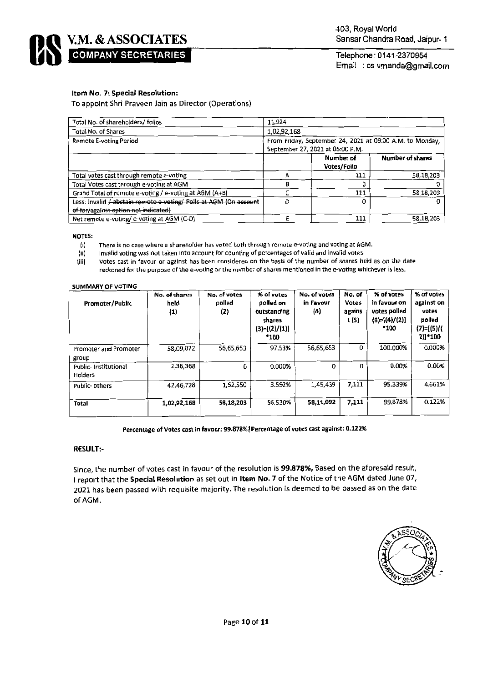

## Item No. 7: Special Resolution:

To appoint Shri Praveen Jain as Director (Operations)

| Total No. of shareholders/folios                                                                          | 11.924                                                                                       |                          |                         |  |  |  |
|-----------------------------------------------------------------------------------------------------------|----------------------------------------------------------------------------------------------|--------------------------|-------------------------|--|--|--|
| Total No. of Shares                                                                                       | 1,02,92,168                                                                                  |                          |                         |  |  |  |
| Remote E-voting Period                                                                                    | From Friday, September 24, 2021 at 09:00 A.M. to Monday,<br>September 27, 2021 at 05:00 P.M. |                          |                         |  |  |  |
|                                                                                                           |                                                                                              | Number of<br>Votes/Folio | <b>Number of shares</b> |  |  |  |
| Total votes cast through remote e-voting                                                                  |                                                                                              | 111                      | 58,18,203               |  |  |  |
| Total Votes cast through e-voting at AGM                                                                  | R                                                                                            |                          |                         |  |  |  |
| Grand Total of remote e-voting / e-voting at AGM (A+B)                                                    |                                                                                              | 111                      | 58,18,203               |  |  |  |
| Less: Invalid / abstain remote e voting/ Polls at AGM (On account<br>of for/against option not indicated) | D                                                                                            |                          |                         |  |  |  |
| Net remote e-voting/e-voting at AGM (C-D)                                                                 |                                                                                              | 111                      | 58,18,203               |  |  |  |

#### **NOTES:**

There is no case where a shareholder has voted both through remote e-voting and voting at AGM.  $(i)$ 

 $(ii)$ Invalid voting was not taken into account for counting of percentages of valid and invalid votes.

(iii) Votes cast in favour or against has been considered on the basis of the number of shares held as on the date reckoned for the purpose of the e-voting or the number of shares mentioned in the e-voting whichever is less.

#### **SUMMARY OF VOTING**

| Promoter/Public                 | No. of shares<br>held<br>(1) | No. of votes<br>polled<br>(2) | % of votes<br>polled on<br>outstanding<br>shares<br>$(3)=[(2)/(1)]$<br>*100 | No. of votes<br>in Favour<br>(4) | No. of<br><b>Votes</b><br>agains<br>t (S) | % of votes<br>in favour on<br>votes polled<br>$(6)=[(4)/(2)]$<br>*100 | % of votes<br>against on<br>votes<br>polled<br>(7)=[(5)/(<br>2)]*100 |
|---------------------------------|------------------------------|-------------------------------|-----------------------------------------------------------------------------|----------------------------------|-------------------------------------------|-----------------------------------------------------------------------|----------------------------------------------------------------------|
| Promoter and Promoter<br>group  | 58,09,072                    | 56,65,653                     | 97.53%                                                                      | 56,65,653                        | 0                                         | 100.000%                                                              | 0.000%                                                               |
| Public-Institutional<br>Holders | 2,36,368                     | 0                             | 0.000%                                                                      | 0                                | 0                                         | 0.00%                                                                 | 0.00%                                                                |
| Public-others                   | 42,46,728                    | 1,52,550                      | 3.592%                                                                      | 1,45,439                         | 7,111                                     | 95.339%                                                               | 4.661%                                                               |
| <b>Total</b>                    | 1,02,92,168                  | 58,18,203                     | 56.530%                                                                     | 58,11,092                        | 7,111                                     | 99.878%                                                               | 0.122%                                                               |

#### Percentage of Votes cast in favour: 99.878% | Percentage of votes cast against: 0.122%

### **RESULT:-**

Since, the number of votes cast in favour of the resolution is 99.878%, Based on the aforesaid result, I report that the Special Resolution as set out in Item No. 7 of the Notice of the AGM dated June 07, 2021 has been passed with requisite majority. The resolution is deemed to be passed as on the date of AGM.